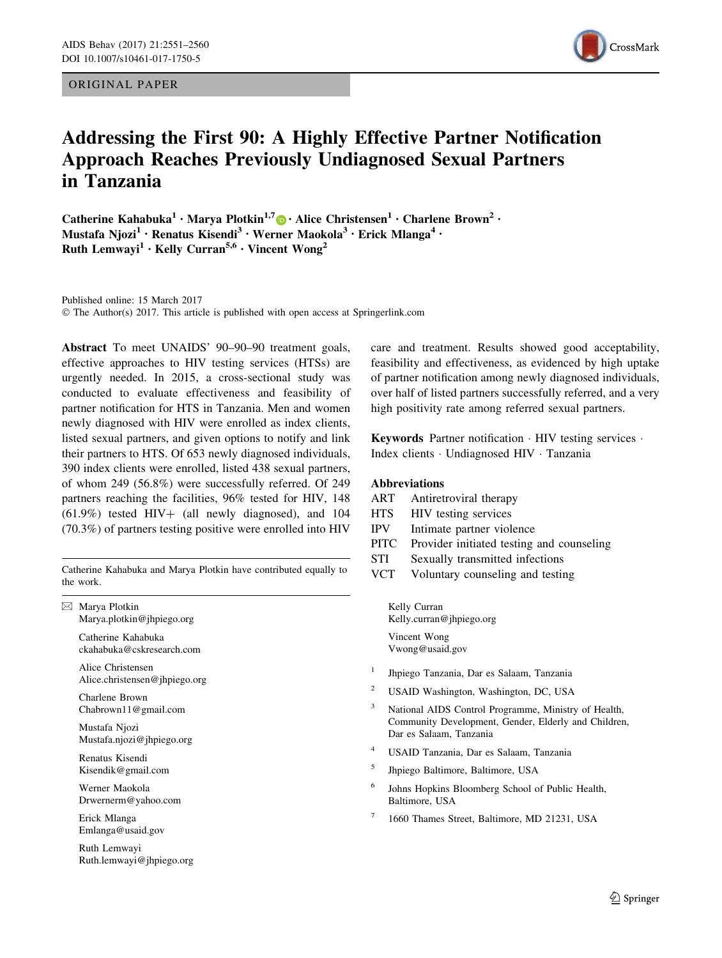ORIGINAL PAPER



# Addressing the First 90: A Highly Effective Partner Notification Approach Reaches Previously Undiagnosed Sexual Partners in Tanzania

Catherine Kahabuka<sup>1</sup> • Marya Plotkin<sup>1,7</sup>  $\odot$  • Alice Christensen<sup>1</sup> • Charlene Brown<sup>2</sup> • Mustafa Njozi<sup>1</sup> • Renatus Kisendi<sup>3</sup> • Werner Maokola<sup>3</sup> • Erick Mlanga<sup>4</sup> • Ruth Lemwayi<sup>1</sup> · Kelly Curran<sup>5,6</sup> · Vincent Wong<sup>2</sup>

Published online: 15 March 2017 © The Author(s) 2017. This article is published with open access at Springerlink.com

Abstract To meet UNAIDS' 90–90–90 treatment goals, effective approaches to HIV testing services (HTSs) are urgently needed. In 2015, a cross-sectional study was conducted to evaluate effectiveness and feasibility of partner notification for HTS in Tanzania. Men and women newly diagnosed with HIV were enrolled as index clients, listed sexual partners, and given options to notify and link their partners to HTS. Of 653 newly diagnosed individuals, 390 index clients were enrolled, listed 438 sexual partners, of whom 249 (56.8%) were successfully referred. Of 249 partners reaching the facilities, 96% tested for HIV, 148  $(61.9\%)$  tested HIV+ (all newly diagnosed), and 104 (70.3%) of partners testing positive were enrolled into HIV

Catherine Kahabuka and Marya Plotkin have contributed equally to VCT Voluntary counseling and testing the work.

 $\boxtimes$  Marya Plotkin Marya.plotkin@jhpiego.org

> Catherine Kahabuka ckahabuka@cskresearch.com

Alice Christensen Alice.christensen@jhpiego.org

Charlene Brown Chabrown11@gmail.com

Mustafa Njozi Mustafa.njozi@jhpiego.org

Renatus Kisendi Kisendik@gmail.com

Werner Maokola Drwernerm@yahoo.com

Erick Mlanga Emlanga@usaid.gov

Ruth Lemwayi Ruth.lemwayi@jhpiego.org care and treatment. Results showed good acceptability, feasibility and effectiveness, as evidenced by high uptake of partner notification among newly diagnosed individuals, over half of listed partners successfully referred, and a very high positivity rate among referred sexual partners.

Keywords Partner notification - HIV testing services - Index clients - Undiagnosed HIV - Tanzania

## Abbreviations

- ART Antiretroviral therapy
- HTS HIV testing services
- IPV Intimate partner violence
- PITC Provider initiated testing and counseling
- STI Sexually transmitted infections
- 

Kelly Curran Kelly.curran@jhpiego.org Vincent Wong Vwong@usaid.gov

- <sup>1</sup> Jhpiego Tanzania, Dar es Salaam, Tanzania
- <sup>2</sup> USAID Washington, Washington, DC, USA
- National AIDS Control Programme, Ministry of Health, Community Development, Gender, Elderly and Children, Dar es Salaam, Tanzania
- <sup>4</sup> USAID Tanzania, Dar es Salaam, Tanzania
- <sup>5</sup> Jhpiego Baltimore, Baltimore, USA
- Johns Hopkins Bloomberg School of Public Health, Baltimore, USA
- <sup>7</sup> 1660 Thames Street, Baltimore, MD 21231, USA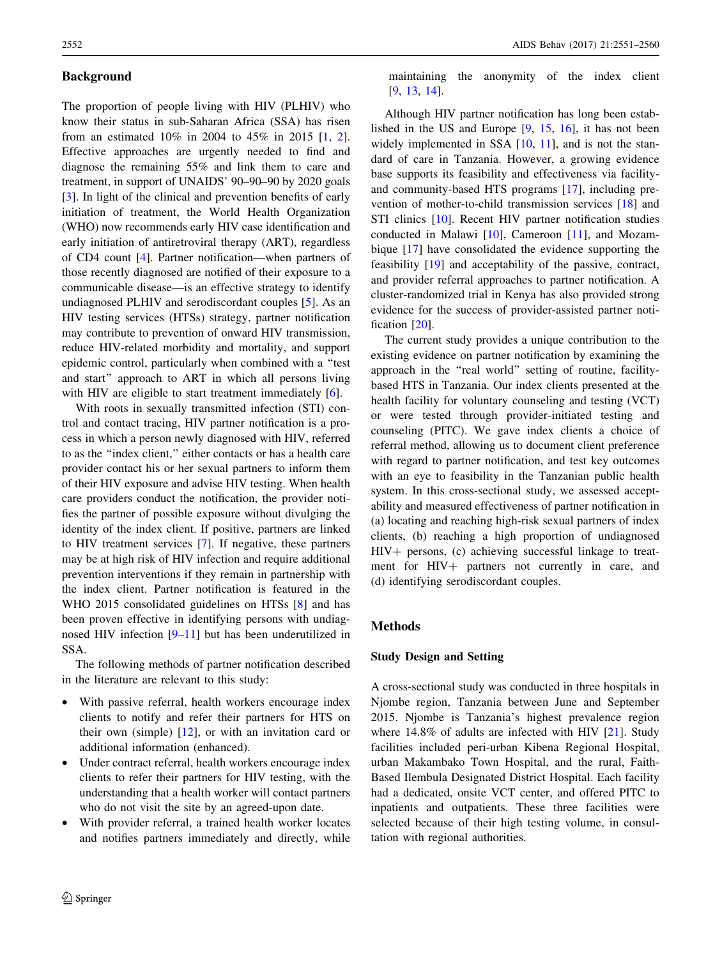# **Background**

The proportion of people living with HIV (PLHIV) who know their status in sub-Saharan Africa (SSA) has risen from an estimated 10% in 2004 to 45% in 2015 [\[1](#page-9-0), [2](#page-9-0)]. Effective approaches are urgently needed to find and diagnose the remaining 55% and link them to care and treatment, in support of UNAIDS' 90–90–90 by 2020 goals [\[3](#page-9-0)]. In light of the clinical and prevention benefits of early initiation of treatment, the World Health Organization (WHO) now recommends early HIV case identification and early initiation of antiretroviral therapy (ART), regardless of CD4 count [[4\]](#page-9-0). Partner notification—when partners of those recently diagnosed are notified of their exposure to a communicable disease—is an effective strategy to identify undiagnosed PLHIV and serodiscordant couples [\[5](#page-9-0)]. As an HIV testing services (HTSs) strategy, partner notification may contribute to prevention of onward HIV transmission, reduce HIV-related morbidity and mortality, and support epidemic control, particularly when combined with a ''test and start'' approach to ART in which all persons living with HIV are eligible to start treatment immediately [\[6](#page-9-0)].

With roots in sexually transmitted infection (STI) control and contact tracing, HIV partner notification is a process in which a person newly diagnosed with HIV, referred to as the ''index client,'' either contacts or has a health care provider contact his or her sexual partners to inform them of their HIV exposure and advise HIV testing. When health care providers conduct the notification, the provider notifies the partner of possible exposure without divulging the identity of the index client. If positive, partners are linked to HIV treatment services [\[7](#page-9-0)]. If negative, these partners may be at high risk of HIV infection and require additional prevention interventions if they remain in partnership with the index client. Partner notification is featured in the WHO 2015 consolidated guidelines on HTSs [\[8](#page-9-0)] and has been proven effective in identifying persons with undiagnosed HIV infection [[9–11\]](#page-9-0) but has been underutilized in SSA.

The following methods of partner notification described in the literature are relevant to this study:

- With passive referral, health workers encourage index clients to notify and refer their partners for HTS on their own (simple)  $[12]$  $[12]$ , or with an invitation card or additional information (enhanced).
- Under contract referral, health workers encourage index clients to refer their partners for HIV testing, with the understanding that a health worker will contact partners who do not visit the site by an agreed-upon date.
- With provider referral, a trained health worker locates and notifies partners immediately and directly, while

maintaining the anonymity of the index client [\[9,](#page-9-0) [13,](#page-9-0) [14\]](#page-9-0).

Although HIV partner notification has long been established in the US and Europe [[9,](#page-9-0) [15](#page-9-0), [16\]](#page-9-0), it has not been widely implemented in SSA [\[10](#page-9-0), [11](#page-9-0)], and is not the standard of care in Tanzania. However, a growing evidence base supports its feasibility and effectiveness via facilityand community-based HTS programs [\[17](#page-9-0)], including prevention of mother-to-child transmission services [[18\]](#page-9-0) and STI clinics [\[10](#page-9-0)]. Recent HIV partner notification studies conducted in Malawi [[10\]](#page-9-0), Cameroon [\[11](#page-9-0)], and Mozambique [[17\]](#page-9-0) have consolidated the evidence supporting the feasibility [[19\]](#page-9-0) and acceptability of the passive, contract, and provider referral approaches to partner notification. A cluster-randomized trial in Kenya has also provided strong evidence for the success of provider-assisted partner notification [[20\]](#page-9-0).

The current study provides a unique contribution to the existing evidence on partner notification by examining the approach in the "real world" setting of routine, facilitybased HTS in Tanzania. Our index clients presented at the health facility for voluntary counseling and testing (VCT) or were tested through provider-initiated testing and counseling (PITC). We gave index clients a choice of referral method, allowing us to document client preference with regard to partner notification, and test key outcomes with an eye to feasibility in the Tanzanian public health system. In this cross-sectional study, we assessed acceptability and measured effectiveness of partner notification in (a) locating and reaching high-risk sexual partners of index clients, (b) reaching a high proportion of undiagnosed  $HIV+$  persons, (c) achieving successful linkage to treatment for HIV+ partners not currently in care, and (d) identifying serodiscordant couples.

# Methods

## Study Design and Setting

A cross-sectional study was conducted in three hospitals in Njombe region, Tanzania between June and September 2015. Njombe is Tanzania's highest prevalence region where 14.8% of adults are infected with HIV [\[21](#page-9-0)]. Study facilities included peri-urban Kibena Regional Hospital, urban Makambako Town Hospital, and the rural, Faith-Based Ilembula Designated District Hospital. Each facility had a dedicated, onsite VCT center, and offered PITC to inpatients and outpatients. These three facilities were selected because of their high testing volume, in consultation with regional authorities.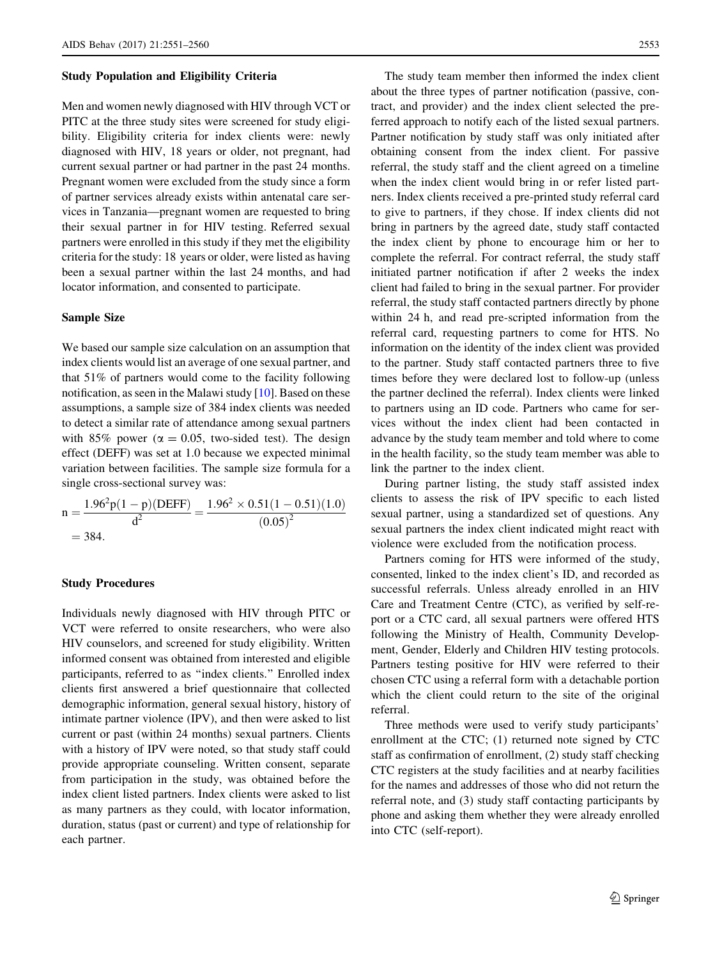### Study Population and Eligibility Criteria

Men and women newly diagnosed with HIV through VCT or PITC at the three study sites were screened for study eligibility. Eligibility criteria for index clients were: newly diagnosed with HIV, 18 years or older, not pregnant, had current sexual partner or had partner in the past 24 months. Pregnant women were excluded from the study since a form of partner services already exists within antenatal care services in Tanzania—pregnant women are requested to bring their sexual partner in for HIV testing. Referred sexual partners were enrolled in this study if they met the eligibility criteria for the study: 18 years or older, were listed as having been a sexual partner within the last 24 months, and had locator information, and consented to participate.

#### Sample Size

We based our sample size calculation on an assumption that index clients would list an average of one sexual partner, and that 51% of partners would come to the facility following notification, as seen in the Malawi study [\[10](#page-9-0)]. Based on these assumptions, a sample size of 384 index clients was needed to detect a similar rate of attendance among sexual partners with 85% power ( $\alpha = 0.05$ , two-sided test). The design effect (DEFF) was set at 1.0 because we expected minimal variation between facilities. The sample size formula for a single cross-sectional survey was:

$$
n = \frac{1.96^2 p (1 - p)(DEFF)}{d^2} = \frac{1.96^2 \times 0.51 (1 - 0.51) (1.0)}{(0.05)^2}
$$
  
= 384.

### Study Procedures

Individuals newly diagnosed with HIV through PITC or VCT were referred to onsite researchers, who were also HIV counselors, and screened for study eligibility. Written informed consent was obtained from interested and eligible participants, referred to as ''index clients.'' Enrolled index clients first answered a brief questionnaire that collected demographic information, general sexual history, history of intimate partner violence (IPV), and then were asked to list current or past (within 24 months) sexual partners. Clients with a history of IPV were noted, so that study staff could provide appropriate counseling. Written consent, separate from participation in the study, was obtained before the index client listed partners. Index clients were asked to list as many partners as they could, with locator information, duration, status (past or current) and type of relationship for each partner.

The study team member then informed the index client about the three types of partner notification (passive, contract, and provider) and the index client selected the preferred approach to notify each of the listed sexual partners. Partner notification by study staff was only initiated after obtaining consent from the index client. For passive referral, the study staff and the client agreed on a timeline when the index client would bring in or refer listed partners. Index clients received a pre-printed study referral card to give to partners, if they chose. If index clients did not bring in partners by the agreed date, study staff contacted the index client by phone to encourage him or her to complete the referral. For contract referral, the study staff initiated partner notification if after 2 weeks the index client had failed to bring in the sexual partner. For provider referral, the study staff contacted partners directly by phone within 24 h, and read pre-scripted information from the referral card, requesting partners to come for HTS. No information on the identity of the index client was provided to the partner. Study staff contacted partners three to five times before they were declared lost to follow-up (unless the partner declined the referral). Index clients were linked to partners using an ID code. Partners who came for services without the index client had been contacted in advance by the study team member and told where to come in the health facility, so the study team member was able to link the partner to the index client.

During partner listing, the study staff assisted index clients to assess the risk of IPV specific to each listed sexual partner, using a standardized set of questions. Any sexual partners the index client indicated might react with violence were excluded from the notification process.

Partners coming for HTS were informed of the study, consented, linked to the index client's ID, and recorded as successful referrals. Unless already enrolled in an HIV Care and Treatment Centre (CTC), as verified by self-report or a CTC card, all sexual partners were offered HTS following the Ministry of Health, Community Development, Gender, Elderly and Children HIV testing protocols. Partners testing positive for HIV were referred to their chosen CTC using a referral form with a detachable portion which the client could return to the site of the original referral.

Three methods were used to verify study participants' enrollment at the CTC; (1) returned note signed by CTC staff as confirmation of enrollment, (2) study staff checking CTC registers at the study facilities and at nearby facilities for the names and addresses of those who did not return the referral note, and (3) study staff contacting participants by phone and asking them whether they were already enrolled into CTC (self-report).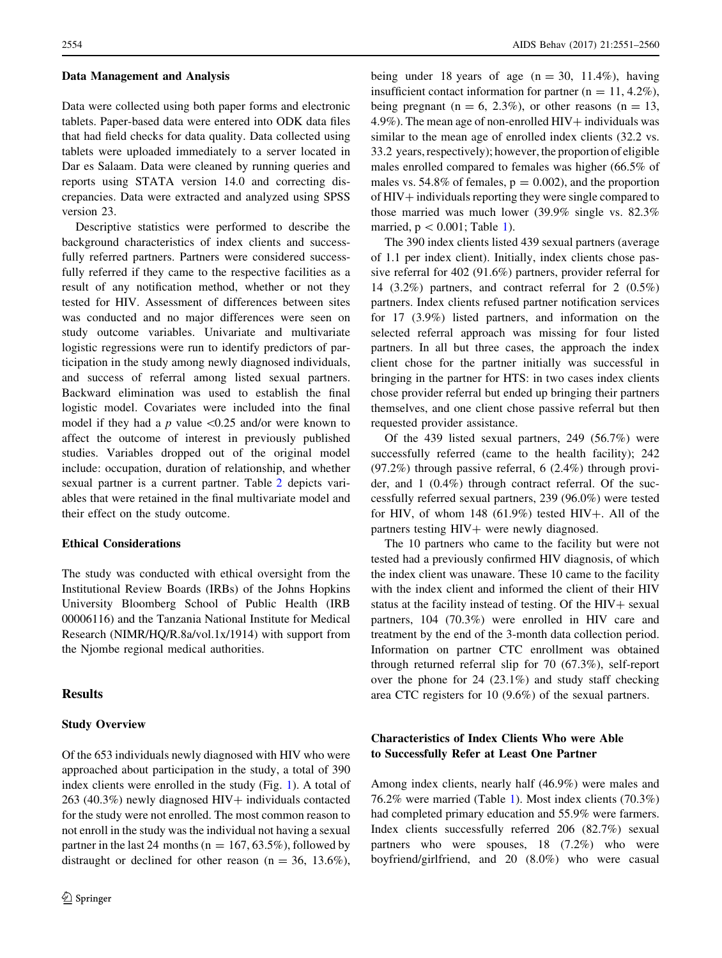#### Data Management and Analysis

Data were collected using both paper forms and electronic tablets. Paper-based data were entered into ODK data files that had field checks for data quality. Data collected using tablets were uploaded immediately to a server located in Dar es Salaam. Data were cleaned by running queries and reports using STATA version 14.0 and correcting discrepancies. Data were extracted and analyzed using SPSS version 23.

Descriptive statistics were performed to describe the background characteristics of index clients and successfully referred partners. Partners were considered successfully referred if they came to the respective facilities as a result of any notification method, whether or not they tested for HIV. Assessment of differences between sites was conducted and no major differences were seen on study outcome variables. Univariate and multivariate logistic regressions were run to identify predictors of participation in the study among newly diagnosed individuals, and success of referral among listed sexual partners. Backward elimination was used to establish the final logistic model. Covariates were included into the final model if they had a p value  $\leq 0.25$  and/or were known to affect the outcome of interest in previously published studies. Variables dropped out of the original model include: occupation, duration of relationship, and whether sexual partner is a current partner. Table [2](#page-6-0) depicts variables that were retained in the final multivariate model and their effect on the study outcome.

## Ethical Considerations

The study was conducted with ethical oversight from the Institutional Review Boards (IRBs) of the Johns Hopkins University Bloomberg School of Public Health (IRB 00006116) and the Tanzania National Institute for Medical Research (NIMR/HQ/R.8a/vol.1x/1914) with support from the Njombe regional medical authorities.

# **Results**

### Study Overview

Of the 653 individuals newly diagnosed with HIV who were approached about participation in the study, a total of 390 index clients were enrolled in the study (Fig. [1](#page-4-0)). A total of  $263$  (40.3%) newly diagnosed HIV $+$  individuals contacted for the study were not enrolled. The most common reason to not enroll in the study was the individual not having a sexual partner in the last 24 months ( $n = 167, 63.5\%$ ), followed by distraught or declined for other reason ( $n = 36$ , 13.6%), being under 18 years of age  $(n = 30, 11.4\%)$ , having insufficient contact information for partner ( $n = 11, 4.2\%$ ), being pregnant ( $n = 6$ , 2.3%), or other reasons ( $n = 13$ , 4.9%). The mean age of non-enrolled  $HIV$  individuals was similar to the mean age of enrolled index clients (32.2 vs. 33.2 years, respectively); however, the proportion of eligible males enrolled compared to females was higher (66.5% of males vs. 54.8% of females,  $p = 0.002$ ), and the proportion of  $HIV$  + individuals reporting they were single compared to those married was much lower (39.9% single vs. 82.3% married,  $p < 0.001$  $p < 0.001$ ; Table 1).

The 390 index clients listed 439 sexual partners (average of 1.1 per index client). Initially, index clients chose passive referral for 402 (91.6%) partners, provider referral for 14 (3.2%) partners, and contract referral for 2 (0.5%) partners. Index clients refused partner notification services for 17 (3.9%) listed partners, and information on the selected referral approach was missing for four listed partners. In all but three cases, the approach the index client chose for the partner initially was successful in bringing in the partner for HTS: in two cases index clients chose provider referral but ended up bringing their partners themselves, and one client chose passive referral but then requested provider assistance.

Of the 439 listed sexual partners, 249 (56.7%) were successfully referred (came to the health facility); 242 (97.2%) through passive referral, 6 (2.4%) through provider, and 1 (0.4%) through contract referral. Of the successfully referred sexual partners, 239 (96.0%) were tested for HIV, of whom  $148$  (61.9%) tested HIV+. All of the partners testing  $HIV+$  were newly diagnosed.

The 10 partners who came to the facility but were not tested had a previously confirmed HIV diagnosis, of which the index client was unaware. These 10 came to the facility with the index client and informed the client of their HIV status at the facility instead of testing. Of the  $HIV +$  sexual partners, 104 (70.3%) were enrolled in HIV care and treatment by the end of the 3-month data collection period. Information on partner CTC enrollment was obtained through returned referral slip for 70 (67.3%), self-report over the phone for 24 (23.1%) and study staff checking area CTC registers for 10 (9.6%) of the sexual partners.

# Characteristics of Index Clients Who were Able to Successfully Refer at Least One Partner

Among index clients, nearly half (46.9%) were males and 76.2% were married (Table [1\)](#page-5-0). Most index clients (70.3%) had completed primary education and 55.9% were farmers. Index clients successfully referred 206 (82.7%) sexual partners who were spouses, 18 (7.2%) who were boyfriend/girlfriend, and 20 (8.0%) who were casual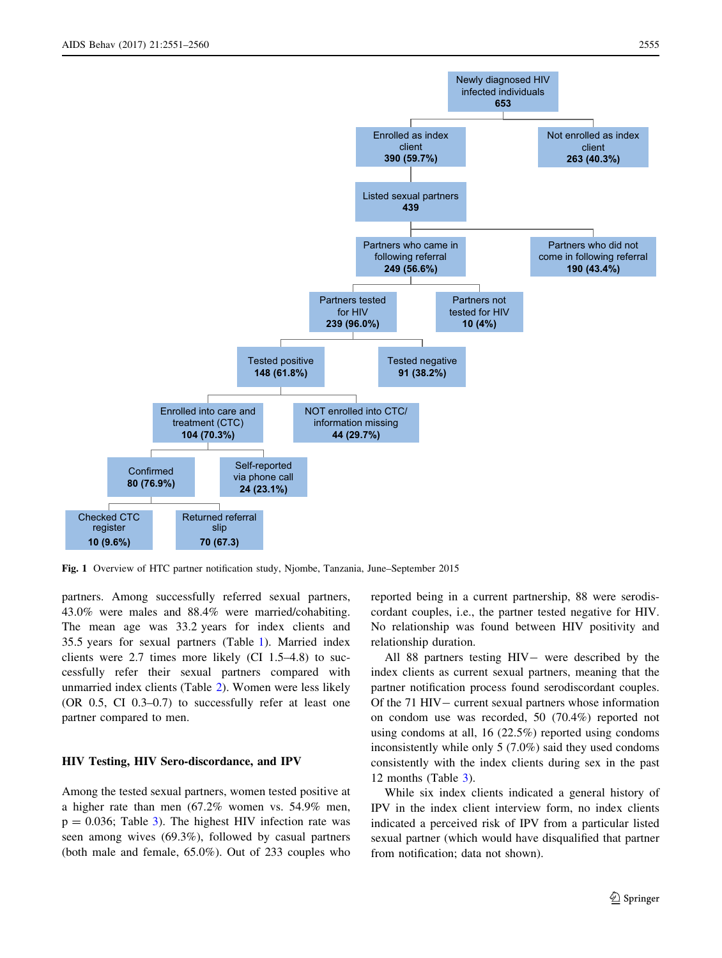<span id="page-4-0"></span>

Fig. 1 Overview of HTC partner notification study, Njombe, Tanzania, June–September 2015

partners. Among successfully referred sexual partners, 43.0% were males and 88.4% were married/cohabiting. The mean age was 33.2 years for index clients and 35.5 years for sexual partners (Table [1](#page-5-0)). Married index clients were 2.7 times more likely (CI 1.5–4.8) to successfully refer their sexual partners compared with unmarried index clients (Table [2](#page-6-0)). Women were less likely (OR 0.5, CI 0.3–0.7) to successfully refer at least one partner compared to men.

## HIV Testing, HIV Sero-discordance, and IPV

Among the tested sexual partners, women tested positive at a higher rate than men (67.2% women vs. 54.9% men,  $p = 0.036$ ; Table [3\)](#page-7-0). The highest HIV infection rate was seen among wives (69.3%), followed by casual partners (both male and female, 65.0%). Out of 233 couples who

reported being in a current partnership, 88 were serodiscordant couples, i.e., the partner tested negative for HIV. No relationship was found between HIV positivity and relationship duration.

All 88 partners testing HIV- were described by the index clients as current sexual partners, meaning that the partner notification process found serodiscordant couples. Of the 71 HIV- current sexual partners whose information on condom use was recorded, 50 (70.4%) reported not using condoms at all, 16 (22.5%) reported using condoms inconsistently while only 5 (7.0%) said they used condoms consistently with the index clients during sex in the past 12 months (Table [3\)](#page-7-0).

While six index clients indicated a general history of IPV in the index client interview form, no index clients indicated a perceived risk of IPV from a particular listed sexual partner (which would have disqualified that partner from notification; data not shown).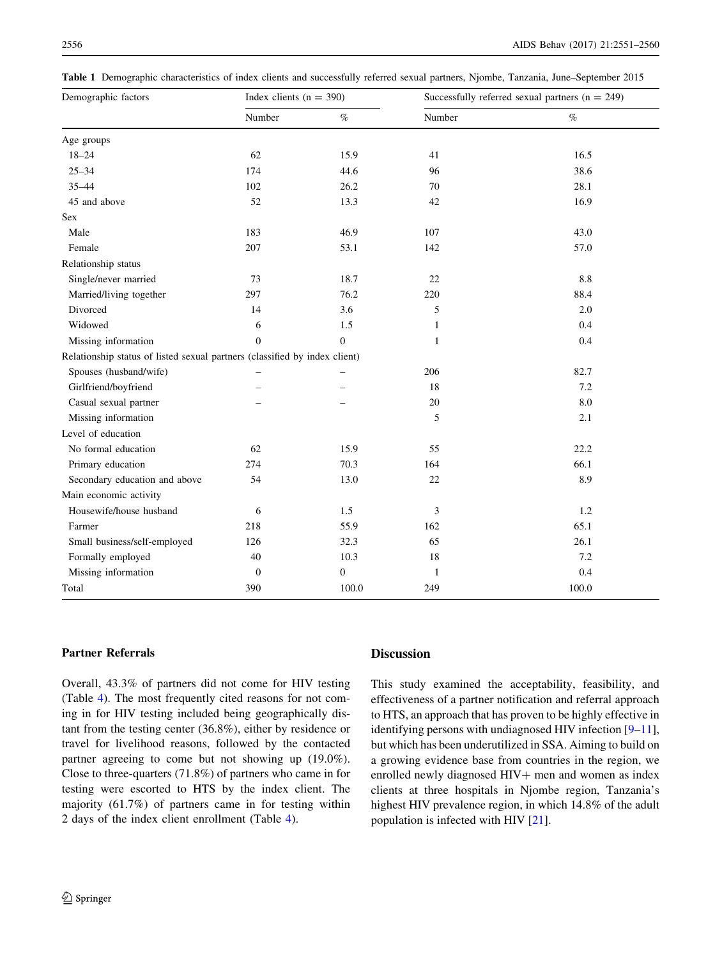<span id="page-5-0"></span>Table 1 Demographic characteristics of index clients and successfully referred sexual partners, Njombe, Tanzania, June–September 2015

| Demographic factors                                                        | Index clients $(n = 390)$ |                  | Successfully referred sexual partners $(n = 249)$ |       |
|----------------------------------------------------------------------------|---------------------------|------------------|---------------------------------------------------|-------|
|                                                                            | Number                    | $\%$             | Number                                            | $\%$  |
| Age groups                                                                 |                           |                  |                                                   |       |
| $18 - 24$                                                                  | 62                        | 15.9             | 41                                                | 16.5  |
| $25 - 34$                                                                  | 174                       | 44.6             | 96                                                | 38.6  |
| $35 - 44$                                                                  | 102                       | 26.2             | 70                                                | 28.1  |
| 45 and above                                                               | 52                        | 13.3             | 42                                                | 16.9  |
| Sex                                                                        |                           |                  |                                                   |       |
| Male                                                                       | 183                       | 46.9             | 107                                               | 43.0  |
| Female                                                                     | 207                       | 53.1             | 142                                               | 57.0  |
| Relationship status                                                        |                           |                  |                                                   |       |
| Single/never married                                                       | 73                        | 18.7             | 22                                                | 8.8   |
| Married/living together                                                    | 297                       | 76.2             | 220                                               | 88.4  |
| Divorced                                                                   | 14                        | 3.6              | 5                                                 | 2.0   |
| Widowed                                                                    | 6                         | 1.5              | $\mathbf{1}$                                      | 0.4   |
| Missing information                                                        | $\overline{0}$            | $\overline{0}$   | 1                                                 | 0.4   |
| Relationship status of listed sexual partners (classified by index client) |                           |                  |                                                   |       |
| Spouses (husband/wife)                                                     | $\overline{\phantom{0}}$  |                  | 206                                               | 82.7  |
| Girlfriend/boyfriend                                                       | $\overline{\phantom{0}}$  |                  | 18                                                | 7.2   |
| Casual sexual partner                                                      |                           |                  | 20                                                | 8.0   |
| Missing information                                                        |                           |                  | 5                                                 | 2.1   |
| Level of education                                                         |                           |                  |                                                   |       |
| No formal education                                                        | 62                        | 15.9             | 55                                                | 22.2  |
| Primary education                                                          | 274                       | 70.3             | 164                                               | 66.1  |
| Secondary education and above                                              | 54                        | 13.0             | 22                                                | 8.9   |
| Main economic activity                                                     |                           |                  |                                                   |       |
| Housewife/house husband                                                    | 6                         | 1.5              | 3                                                 | 1.2   |
| Farmer                                                                     | 218                       | 55.9             | 162                                               | 65.1  |
| Small business/self-employed                                               | 126                       | 32.3             | 65                                                | 26.1  |
| Formally employed                                                          | 40                        | 10.3             | 18                                                | 7.2   |
| Missing information                                                        | $\mathbf{0}$              | $\boldsymbol{0}$ | $\mathbf{1}$                                      | 0.4   |
| Total                                                                      | 390                       | 100.0            | 249                                               | 100.0 |

## Partner Referrals

Overall, 43.3% of partners did not come for HIV testing (Table [4](#page-8-0)). The most frequently cited reasons for not coming in for HIV testing included being geographically distant from the testing center (36.8%), either by residence or travel for livelihood reasons, followed by the contacted partner agreeing to come but not showing up (19.0%). Close to three-quarters (71.8%) of partners who came in for testing were escorted to HTS by the index client. The majority (61.7%) of partners came in for testing within 2 days of the index client enrollment (Table [4\)](#page-8-0).

## Discussion

This study examined the acceptability, feasibility, and effectiveness of a partner notification and referral approach to HTS, an approach that has proven to be highly effective in identifying persons with undiagnosed HIV infection [\[9–11](#page-9-0)], but which has been underutilized in SSA. Aiming to build on a growing evidence base from countries in the region, we enrolled newly diagnosed  $HIV+$  men and women as index clients at three hospitals in Njombe region, Tanzania's highest HIV prevalence region, in which 14.8% of the adult population is infected with HIV [\[21](#page-9-0)].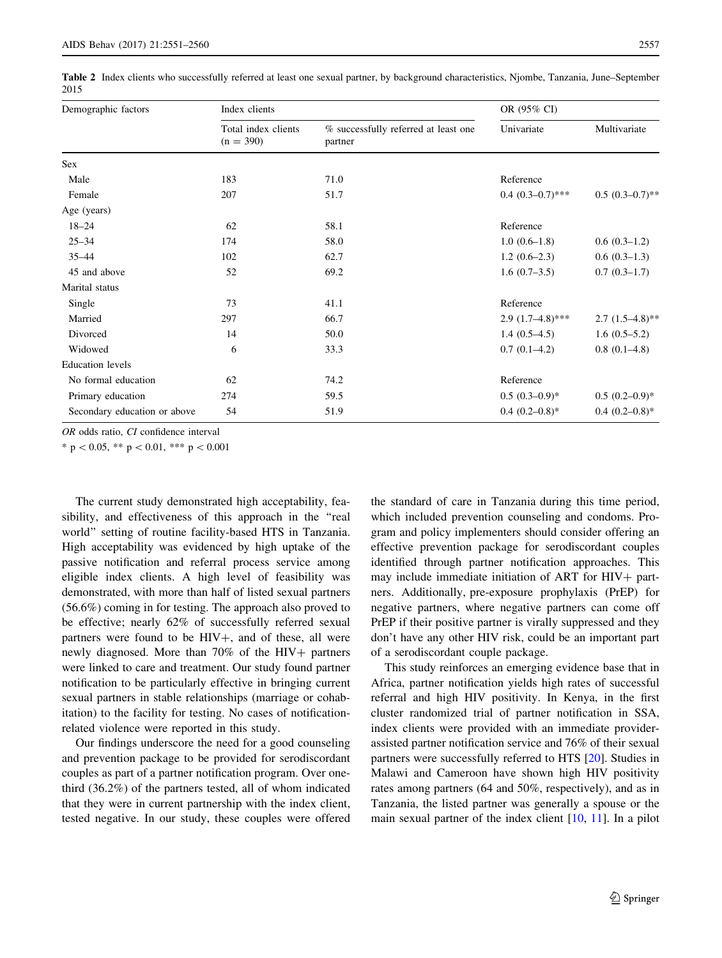<span id="page-6-0"></span>Table 2 Index clients who successfully referred at least one sexual partner, by background characteristics, Njombe, Tanzania, June–September 2015

| Demographic factors          | Index clients                      |                                                 | OR (95% CI)        |                   |
|------------------------------|------------------------------------|-------------------------------------------------|--------------------|-------------------|
|                              | Total index clients<br>$(n = 390)$ | % successfully referred at least one<br>partner | Univariate         | Multivariate      |
| Sex                          |                                    |                                                 |                    |                   |
| Male                         | 183                                | 71.0                                            | Reference          |                   |
| Female                       | 207                                | 51.7                                            | $0.4(0.3-0.7)$ *** | $0.5(0.3-0.7)$ ** |
| Age (years)                  |                                    |                                                 |                    |                   |
| $18 - 24$                    | 62                                 | 58.1                                            | Reference          |                   |
| $25 - 34$                    | 174                                | 58.0                                            | $1.0(0.6-1.8)$     | $0.6(0.3-1.2)$    |
| $35 - 44$                    | 102                                | 62.7                                            | $1.2(0.6-2.3)$     | $0.6(0.3-1.3)$    |
| 45 and above                 | 52                                 | 69.2                                            | $1.6(0.7-3.5)$     | $0.7(0.3-1.7)$    |
| Marital status               |                                    |                                                 |                    |                   |
| Single                       | 73                                 | 41.1                                            | Reference          |                   |
| Married                      | 297                                | 66.7                                            | $2.9(1.7-4.8)$ *** | $2.7(1.5-4.8)$ ** |
| Divorced                     | 14                                 | 50.0                                            | $1.4(0.5-4.5)$     | $1.6(0.5-5.2)$    |
| Widowed                      | 6                                  | 33.3                                            | $0.7(0.1-4.2)$     | $0.8(0.1-4.8)$    |
| <b>Education</b> levels      |                                    |                                                 |                    |                   |
| No formal education          | 62                                 | 74.2                                            | Reference          |                   |
| Primary education            | 274                                | 59.5                                            | $0.5(0.3-0.9)$ *   | $0.5(0.2-0.9)^*$  |
| Secondary education or above | 54                                 | 51.9                                            | $0.4(0.2-0.8)$ *   | $0.4(0.2-0.8)$ *  |

OR odds ratio, CI confidence interval

\* p < 0.05, \*\* p < 0.01, \*\*\* p < 0.001

The current study demonstrated high acceptability, feasibility, and effectiveness of this approach in the ''real world'' setting of routine facility-based HTS in Tanzania. High acceptability was evidenced by high uptake of the passive notification and referral process service among eligible index clients. A high level of feasibility was demonstrated, with more than half of listed sexual partners (56.6%) coming in for testing. The approach also proved to be effective; nearly 62% of successfully referred sexual partners were found to be  $HIV+$ , and of these, all were newly diagnosed. More than  $70\%$  of the HIV+ partners were linked to care and treatment. Our study found partner notification to be particularly effective in bringing current sexual partners in stable relationships (marriage or cohabitation) to the facility for testing. No cases of notificationrelated violence were reported in this study.

Our findings underscore the need for a good counseling and prevention package to be provided for serodiscordant couples as part of a partner notification program. Over onethird (36.2%) of the partners tested, all of whom indicated that they were in current partnership with the index client, tested negative. In our study, these couples were offered the standard of care in Tanzania during this time period, which included prevention counseling and condoms. Program and policy implementers should consider offering an effective prevention package for serodiscordant couples identified through partner notification approaches. This may include immediate initiation of ART for  $HIV+$  partners. Additionally, pre-exposure prophylaxis (PrEP) for negative partners, where negative partners can come off PrEP if their positive partner is virally suppressed and they don't have any other HIV risk, could be an important part of a serodiscordant couple package.

This study reinforces an emerging evidence base that in Africa, partner notification yields high rates of successful referral and high HIV positivity. In Kenya, in the first cluster randomized trial of partner notification in SSA, index clients were provided with an immediate providerassisted partner notification service and 76% of their sexual partners were successfully referred to HTS [[20](#page-9-0)]. Studies in Malawi and Cameroon have shown high HIV positivity rates among partners (64 and 50%, respectively), and as in Tanzania, the listed partner was generally a spouse or the main sexual partner of the index client [[10,](#page-9-0) [11](#page-9-0)]. In a pilot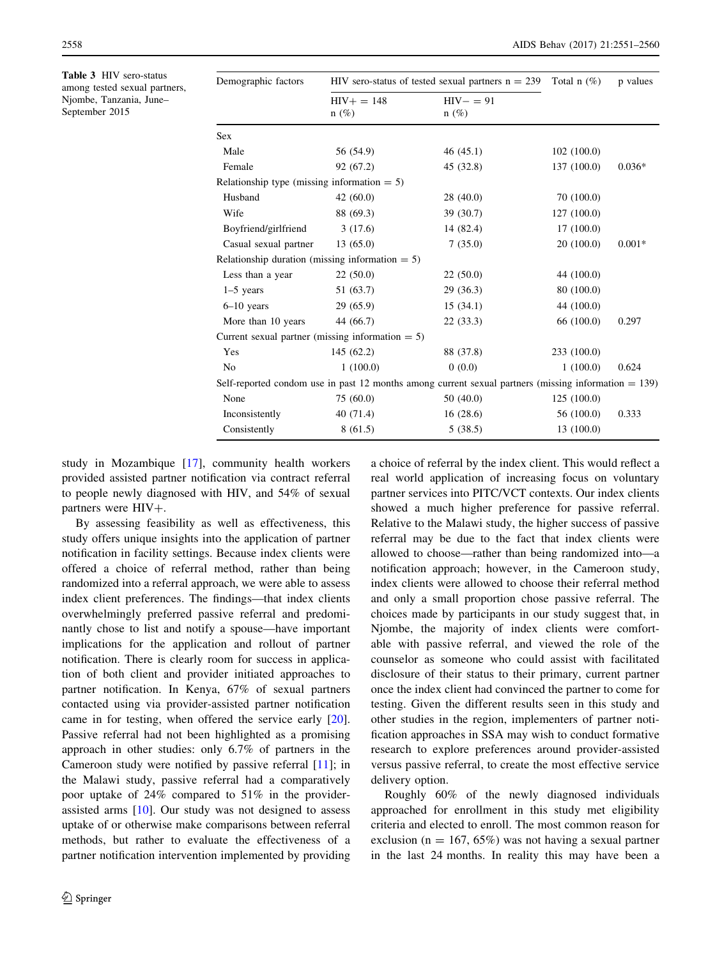<span id="page-7-0"></span>Table 3 HIV sero-status among tested sexual partners, Njombe, Tanzania, June– September 2015

| Demographic factors                                 |                          | HIV sero-status of tested sexual partners $n = 239$ Total n $(\%)$                                      |             | p values |
|-----------------------------------------------------|--------------------------|---------------------------------------------------------------------------------------------------------|-------------|----------|
|                                                     | $HIV + = 148$<br>$n(\%)$ | $HIV - = 91$<br>$n(\%)$                                                                                 |             |          |
| <b>Sex</b>                                          |                          |                                                                                                         |             |          |
| Male                                                | 56 (54.9)                | 46 (45.1)                                                                                               | 102(100.0)  |          |
| Female                                              | 92 (67.2)                | 45 (32.8)                                                                                               | 137 (100.0) | $0.036*$ |
| Relationship type (missing information $= 5$ )      |                          |                                                                                                         |             |          |
| Husband                                             | 42(60.0)                 | 28(40.0)                                                                                                | 70 (100.0)  |          |
| Wife                                                | 88 (69.3)                | 39 (30.7)                                                                                               | 127(100.0)  |          |
| Boyfriend/girlfriend                                | 3(17.6)                  | 14 (82.4)                                                                                               | 17(100.0)   |          |
| Casual sexual partner                               | 13(65.0)                 | 7(35.0)                                                                                                 | 20(100.0)   | $0.001*$ |
| Relationship duration (missing information $= 5$ )  |                          |                                                                                                         |             |          |
| Less than a year                                    | 22(50.0)                 | 22(50.0)                                                                                                | 44 (100.0)  |          |
| $1-5$ years                                         | 51 (63.7)                | 29 (36.3)                                                                                               | 80 (100.0)  |          |
| $6-10$ years                                        | 29(65.9)                 | 15(34.1)                                                                                                | 44 (100.0)  |          |
| More than 10 years                                  | 44 (66.7)                | 22(33.3)                                                                                                | 66 (100.0)  | 0.297    |
| Current sexual partner (missing information $= 5$ ) |                          |                                                                                                         |             |          |
| Yes                                                 | 145 (62.2)               | 88 (37.8)                                                                                               | 233 (100.0) |          |
| N <sub>0</sub>                                      | 1(100.0)                 | 0(0.0)                                                                                                  | 1(100.0)    | 0.624    |
|                                                     |                          | Self-reported condom use in past 12 months among current sexual partners (missing information $= 139$ ) |             |          |
| None                                                | 75 (60.0)                | 50(40.0)                                                                                                | 125(100.0)  |          |
| Inconsistently                                      | 40(71.4)                 | 16(28.6)                                                                                                | 56 (100.0)  | 0.333    |
| Consistently                                        | 8(61.5)                  | 5(38.5)                                                                                                 | 13 (100.0)  |          |

study in Mozambique [[17\]](#page-9-0), community health workers provided assisted partner notification via contract referral to people newly diagnosed with HIV, and 54% of sexual partners were  $HIV+$ .

By assessing feasibility as well as effectiveness, this study offers unique insights into the application of partner notification in facility settings. Because index clients were offered a choice of referral method, rather than being randomized into a referral approach, we were able to assess index client preferences. The findings—that index clients overwhelmingly preferred passive referral and predominantly chose to list and notify a spouse—have important implications for the application and rollout of partner notification. There is clearly room for success in application of both client and provider initiated approaches to partner notification. In Kenya, 67% of sexual partners contacted using via provider-assisted partner notification came in for testing, when offered the service early [\[20](#page-9-0)]. Passive referral had not been highlighted as a promising approach in other studies: only 6.7% of partners in the Cameroon study were notified by passive referral [[11\]](#page-9-0); in the Malawi study, passive referral had a comparatively poor uptake of 24% compared to 51% in the providerassisted arms [[10\]](#page-9-0). Our study was not designed to assess uptake of or otherwise make comparisons between referral methods, but rather to evaluate the effectiveness of a partner notification intervention implemented by providing

a choice of referral by the index client. This would reflect a real world application of increasing focus on voluntary partner services into PITC/VCT contexts. Our index clients showed a much higher preference for passive referral. Relative to the Malawi study, the higher success of passive referral may be due to the fact that index clients were allowed to choose—rather than being randomized into—a notification approach; however, in the Cameroon study, index clients were allowed to choose their referral method and only a small proportion chose passive referral. The choices made by participants in our study suggest that, in Njombe, the majority of index clients were comfortable with passive referral, and viewed the role of the counselor as someone who could assist with facilitated disclosure of their status to their primary, current partner once the index client had convinced the partner to come for testing. Given the different results seen in this study and other studies in the region, implementers of partner notification approaches in SSA may wish to conduct formative research to explore preferences around provider-assisted versus passive referral, to create the most effective service delivery option.

Roughly 60% of the newly diagnosed individuals approached for enrollment in this study met eligibility criteria and elected to enroll. The most common reason for exclusion ( $n = 167, 65\%$ ) was not having a sexual partner in the last 24 months. In reality this may have been a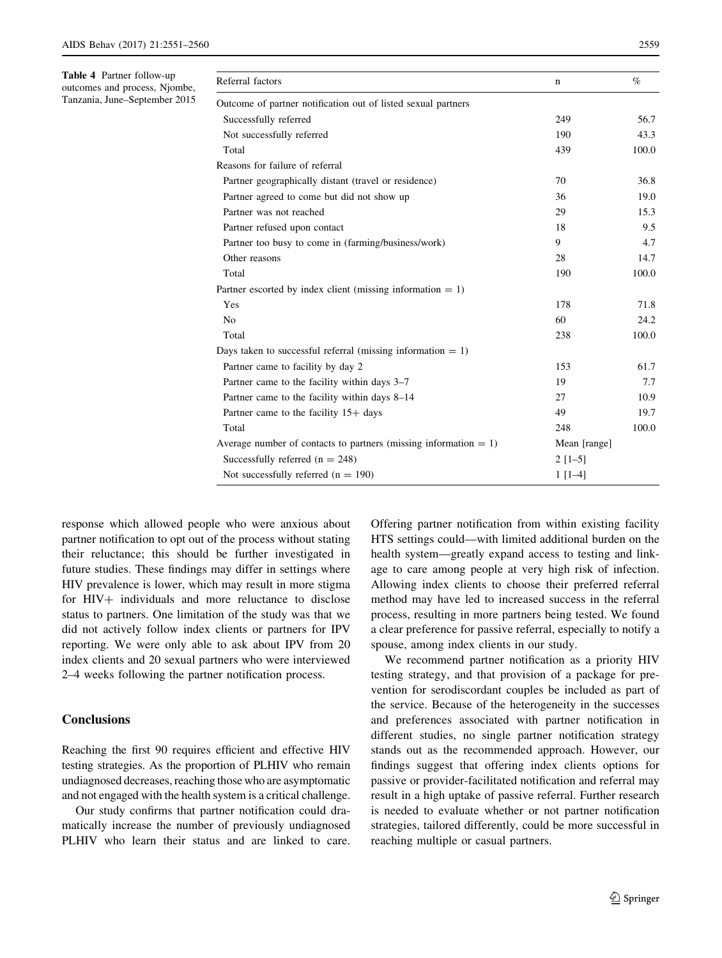<span id="page-8-0"></span>Table 4 Partner follow-up outcomes and process, Njombe, Tanzania, June–September 2015

| Referral factors                                                    | n            | $\%$  |
|---------------------------------------------------------------------|--------------|-------|
| Outcome of partner notification out of listed sexual partners       |              |       |
| Successfully referred                                               | 249          | 56.7  |
| Not successfully referred                                           | 190          | 43.3  |
| Total                                                               | 439          | 100.0 |
| Reasons for failure of referral                                     |              |       |
| Partner geographically distant (travel or residence)                | 70           | 36.8  |
| Partner agreed to come but did not show up                          | 36           | 19.0  |
| Partner was not reached                                             | 29           | 15.3  |
| Partner refused upon contact                                        | 18           | 9.5   |
| Partner too busy to come in (farming/business/work)                 | 9            | 4.7   |
| Other reasons                                                       | 28           | 14.7  |
| Total                                                               | 190          | 100.0 |
| Partner escorted by index client (missing information $= 1$ )       |              |       |
| Yes                                                                 | 178          | 71.8  |
| N <sub>0</sub>                                                      | 60           | 24.2  |
| Total                                                               | 238          | 100.0 |
| Days taken to successful referral (missing information $= 1$ )      |              |       |
| Partner came to facility by day 2                                   | 153          | 61.7  |
| Partner came to the facility within days 3–7                        | 19           | 7.7   |
| Partner came to the facility within days 8-14                       | 27           | 10.9  |
| Partner came to the facility $15+$ days                             | 49           | 19.7  |
| Total                                                               | 248          | 100.0 |
| Average number of contacts to partners (missing information $= 1$ ) | Mean [range] |       |
| Successfully referred $(n = 248)$                                   | $2[1-5]$     |       |
| Not successfully referred $(n = 190)$                               | $1[1-4]$     |       |

response which allowed people who were anxious about partner notification to opt out of the process without stating their reluctance; this should be further investigated in future studies. These findings may differ in settings where HIV prevalence is lower, which may result in more stigma for HIV+ individuals and more reluctance to disclose status to partners. One limitation of the study was that we did not actively follow index clients or partners for IPV reporting. We were only able to ask about IPV from 20 index clients and 20 sexual partners who were interviewed 2–4 weeks following the partner notification process.

# **Conclusions**

Reaching the first 90 requires efficient and effective HIV testing strategies. As the proportion of PLHIV who remain undiagnosed decreases, reaching those who are asymptomatic and not engaged with the health system is a critical challenge.

Our study confirms that partner notification could dramatically increase the number of previously undiagnosed PLHIV who learn their status and are linked to care.

Offering partner notification from within existing facility HTS settings could—with limited additional burden on the health system—greatly expand access to testing and linkage to care among people at very high risk of infection. Allowing index clients to choose their preferred referral method may have led to increased success in the referral process, resulting in more partners being tested. We found a clear preference for passive referral, especially to notify a spouse, among index clients in our study.

We recommend partner notification as a priority HIV testing strategy, and that provision of a package for prevention for serodiscordant couples be included as part of the service. Because of the heterogeneity in the successes and preferences associated with partner notification in different studies, no single partner notification strategy stands out as the recommended approach. However, our findings suggest that offering index clients options for passive or provider-facilitated notification and referral may result in a high uptake of passive referral. Further research is needed to evaluate whether or not partner notification strategies, tailored differently, could be more successful in reaching multiple or casual partners.